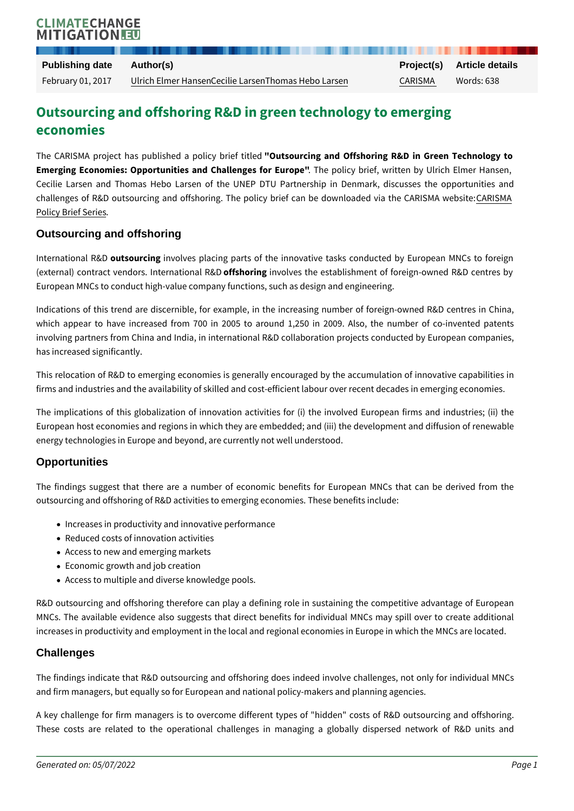# Outsourcing and offshoring R&D in green technology economies

The CARISMA project has publish@dtseouproclincoy abmidefOffishleed ring R&D in Green Emerging Economies: Opportunities and CThaellpolgiecs foornie Europpiot "en by Ulrich I Cecilie Larsen and Thomas Hebo Larsen of the UNEP DTU Partnership in challenges of R&D outsourcing and offshoring. The policy brief CoARNISM& Adownl [Policy Brie](http://carisma-project.eu/Publications/Policy-brief-series)f Series .

## Outsourcing and offshoring

International the AD rcing olves placing parts of the innovative tasks conducted (external) contract vendors. of **if is heormienty only dels Rt&D** establishment of foreign-owne European MNCs to conduct high-value company functions, such as design and e

Indications of this trend are discernible, for example, in the increasing numb which appear to have increased from 700 in 2005 to around 1,250 in 2009 involving partners from China and India, in international R&D collaboration pro has increased significantly.

This relocation of R&D to emerging economies is generally encouraged by the firms and industries and the availability of skilled and cost-efficient labour ove

The implications of this globalization of innovation activities for (i) the invo European host economies and regions in which they are embedded; and (iii) the energy technologies in Europe and beyond, are currently not well understood.

## **Opportunities**

The findings suggest that there are a number of economic benefits for Euro outsourcing and offshoring of R&D activities to emerging economies. These ben

- Increases in productivity and innovative performance
- Reduced costs of innovation activities
- Access to new and emerging markets
- Economic growth and job creation
- Access to multiple and diverse knowledge pools.

R&D outsourcing and offshoring therefore can play a defining role in sustaini MNCs. The available evidence also suggests that direct benefits for individu increases in productivity and employment in the local and regional economies i

## **Challenges**

The findings indicate that R&D outsourcing and offshoring does indeed involv and firm managers, but equally so for European and national policy-makers and

A key challenge for firm managers is to overcome different types of "hidden' These costs are related to the operational challenges in managing a globally